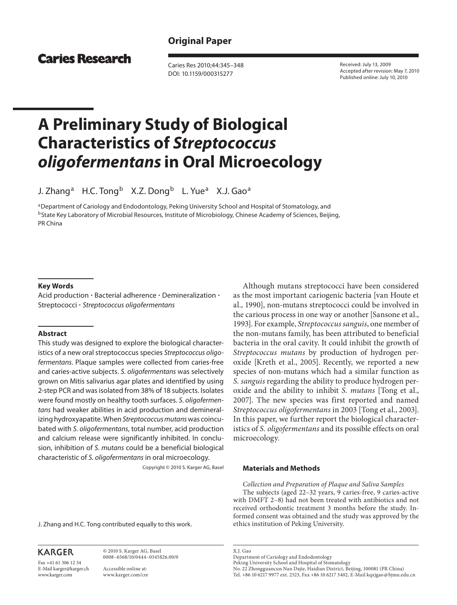## **Original Paper**

## **Caries Research**

 Caries Res 2010;44:345–348 DOI: 10.1159/000315277

 Received: July 13, 2009 Accepted after revision: May 7, 2010 Published online: July 10, 2010

# **A Preliminary Study of Biological Characteristics of** *Streptococcus oligofermentans* **in Oral Microecology**

J. Zhang<sup>a</sup> H.C. Tong<sup>b</sup> X.Z. Dong<sup>b</sup> L. Yue<sup>a</sup> X.J. Gao<sup>a</sup>

a Department of Cariology and Endodontology, Peking University School and Hospital of Stomatology, and <sup>b</sup> State Key Laboratory of Microbial Resources, Institute of Microbiology, Chinese Academy of Sciences, Beijing, PR China

#### **Key Words**

Acid production · Bacterial adherence · Demineralization · Streptococci · Streptococcus oligofermentans

#### **Abstract**

 This study was designed to explore the biological characteristics of a new oral streptococcus species Streptococcus oligofermentans. Plaque samples were collected from caries-free and caries-active subjects. S. oligofermentans was selectively grown on Mitis salivarius agar plates and identified by using 2-step PCR and was isolated from 38% of 18 subjects. Isolates were found mostly on healthy tooth surfaces. S. oligofermentans had weaker abilities in acid production and demineralizing hydroxyapatite. When Streptococcus mutans was coincubated with S. *oligofermentans*, total number, acid production and calcium release were significantly inhibited. In conclusion, inhibition of S. mutans could be a beneficial biological characteristic of S. oligofermentans in oral microecology.

Copyright © 2010 S. Karger AG, Basel

J. Zhang and H.C. Tong contributed equally to this work.

 Although mutans streptococci have been considered as the most important cariogenic bacteria [van Houte et al., 1990], non-mutans streptococci could be involved in the carious process in one way or another [Sansone et al., 1993]. For example, *Streptococcus sanguis* , one member of the non-mutans family, has been attributed to beneficial bacteria in the oral cavity. It could inhibit the growth of *Streptococcus mutans* by production of hydrogen peroxide [Kreth et al., 2005]. Recently, we reported a new species of non-mutans which had a similar function as *S. sanguis* regarding the ability to produce hydrogen peroxide and the ability to inhibit *S. mutans* [Tong et al., 2007]. The new species was first reported and named *Streptococcus oligofermentans* in 2003 [Tong et al., 2003]. In this paper, we further report the biological characteristics of *S. oligofermentans* and its possible effects on oral microecology.

#### **Materials and Methods**

 *Collection and Preparation of Plaque and Saliva Samples*  The subjects (aged 22–32 years, 9 caries-free, 9 caries-active with DMFT 2–8) had not been treated with antibiotics and not received orthodontic treatment 3 months before the study. Informed consent was obtained and the study was approved by the ethics institution of Peking University.

**KARGER** Fax +41 61 306 12 34

E-Mail karger@karger.ch www.karger.com

 © 2010 S. Karger AG, Basel 0008–6568/10/0444–0345\$26.00/0

 Accessible online at: www.karger.com/cre  X.J. Gao Department of Cariology and Endodontology

Peking University School and Hospital of Stomatology

 No. 22 Zhongguancun Nan Dajie, Haidian District, Beijing, 100081 (PR China) Tel. +86 10 6217 9977 ext. 2523, Fax +86 10 6217 3402, E-Mail kqxjgao @ bjmu.edu.cn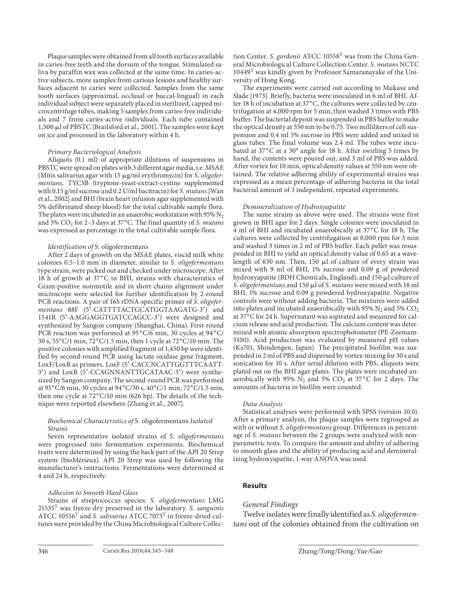Plaque samples were obtained from all tooth surfaces available in caries-free teeth and the dorsum of the tongue. Stimulated saliva by paraffin wax was collected at the same time. In caries-active subjects, more samples from carious lesions and healthy surfaces adjacent to caries were collected. Samples from the same tooth surfaces (approximal, occlusal or buccal-lingual) in each individual subject were separately placed in sterilized, capped microcentrifuge tubes, making 5 samples from caries-free individuals and 7 from caries-active individuals. Each tube contained 1,500 μl of PBSTC [Brailsford et al., 2001]. The samples were kept on ice and processed in the laboratory within 4 h.

#### *Primary Bacteriological Analysis*

 Aliquots (0.1 ml) of appropriate dilutions of suspensions in PBSTC were spread on plates with 3 different agar media, i.e. MSAE (Mitis salivarius agar with 15 µg/ml erythromycin) for *S. oligofermentans,* TYCSB (tryptone-yeast-extract-cystine supplemented with 0.15 g/ml sucrose and 0.2 U/ml bacitracin) for *S. mutans* [Wan et al., 2002] and BHI (brain heart infusion agar supplemented with 5% defibrinated sheep blood) for the total cultivable sample flora. The plates were incubated in an anaerobic workstation with 95%  $N_2$ and 5% CO<sub>2</sub> for 2-3 days at 37°C. The final quantity of *S. mutans* was expressed as percentage in the total cultivable sample flora.

#### *Identification of* S. oligofermentans

 After 2 days of growth on the MSAE plates, viscid milk white colonies 0.5–1.0 mm in diameter, similar to *S. oligofermentans* type strain, were picked out and checked under microscope. After 18 h of growth at 37°C in BHI, strains with characteristics of Gram-positive nonmotile and in short chains alignment under microscope were selected for further identification by 2-round PCR reactions. A pair of 16S rDNA-specific primer of *S. oligofermentans* 88F (5'-CATTTTACTGCATGGTAAGATG-3') and 1541R (5'-AAGGAGGTGATCCAGCC-3') were designed and synthesized by Sangon company (Shanghai, China). First-round PCR reaction was performed at 95°C/6 min, 30 cycles at 94°C/ 30 s, 55°C/1 min, 72°C/1.5 min, then 1 cycle at 72°C/10 min. The positive colonies with amplified fragment of 1,450 bp were identified by second-round PCR using lactate oxidase gene fragment, LoxF/LoxR as primers. LoxF (5'-CACCNCATTGGTTTCAATT-3') and LoxR (5'-CCAGNNANTTGCATAAC-3') were synthesized by Sangon company. The second-round PCR was performed at 95°C/6 min, 30 cycles at 94°C/30 s, 40°C/1 min, 72°C/1.5 min, then one cycle at  $72^{\circ}$ C/10 min (626 bp). The details of the technique were reported elsewhere [Zhang et al., 2007].

#### *Biochemical Characteristics of* S. oligofermentans *Isolated Strains*

 Seven representative isolated strains of *S. oligofermentans* were progressed into fermentation experiments. Biochemical traits were determined by using the back part of the API 20 Strep system (bioMérieux). API 20 Strep was used by following the manufacturer's instructions. Fermentations were determined at 4 and 24 h, respectively.

#### *Adhesion to Smooth Hard Glass*

 Strains of streptococcus species: *S. oligofermentans* LMG 21535 T was freeze-dry preserved in the laboratory. *S. sanguinis* ATCC 10556<sup>T</sup> and *S. salivarius* ATCC 7073<sup>T</sup> in freeze-dried cultures were provided by the China Microbiological Culture Collection Center. *S. gordonii* ATCC 10558<sup>T</sup> was from the China General Microbiological Culture Collection Center. *S. mutans* NCTC  $10449<sup>T</sup>$  was kindly given by Professor Samaranayake of the University of Hong Kong.

 The experiments were carried out according to Mukasa and Slade [1973]. Briefly, bacteria were inoculated in 6 ml of BHI. After 18 h of incubation at 37°C, the cultures were collected by centrifugation at 4,000 rpm for 5 min, then washed 3 times with PBS buffer. The bacterial deposit was suspended in PBS buffer to make the optical density at 550 nm to be 0.75. Two milliliters of cell suspension and 0.4 ml 5% sucrose in PBS were added and mixed in glass tubes. The final volume was 2.4 ml. The tubes were incubated at 37°C at a 30° angle for 18 h. After swirling 5 times by hand, the contents were poured out, and 3 ml of PBS was added. After vortex for 10 min, optical density values at 550 nm were obtained. The relative adhering ability of experimental strains was expressed as a mean percentage of adhering bacteria in the total bacterial amount of 3 independent, repeated experiments.

#### *Demineralization of Hydroxyapatite*

 The same strains as above were used. The strains were first grown in BHI agar for 2 days. Single colonies were inoculated in 4 ml of BHI and incubated anaerobically at 37 ° C for 18 h. The cultures were collected by centrifugation at 8,000 rpm for 5 min and washed 3 times in 2 ml of PBS buffer. Each pellet was resuspended in BHI to yield an optical density value of 0.65 at a wavelength of 630 nm. Then, 150  $\mu$ l of culture of every strain was mixed with 9 ml of BHI, 1% sucrose and 0.09 g of powdered hydroxyapatite (BDH Chemicals, England), and 150  $\mu$ l culture of S. oligofermentans and 150  $\mu$ l of *S. mutans* were mixed with 18 ml BHI, 1% sucrose and 0.09 g powdered hydroxyapatite. Negative controls were without adding bacteria. The mixtures were added into plates and incubated anaerobically with 95% N<sub>2</sub> and 5%  $CO<sub>2</sub>$ at 37°C for 24 h. Supernatant was aspirated and measured for calcium release and acid production. The calcium content was determined with atomic absorption spectrophotometer (PE-Zeemam-5100). Acid production was evaluated by measured pH values (Ks701, Shindengen, Japan). The precipitated biofilm was suspended in 2 ml of PBS and dispersed by vortex-mixing for 30 s and sonication for 10 s. After serial dilution with PBS, aliquots were plated out on the BHI agar plates. The plates were incubated anaerobically with 95%  $N_2$  and 5% CO<sub>2</sub> at 37°C for 2 days. The amounts of bacteria in biofilm were counted.

#### *Data Analysis*

 Statistical analyses were performed with SPSS (version 10.0). After a primary analysis, the plaque samples were regrouped as with or without *S. oligofermentans* group. Differences in percentage of *S. mutans* between the 2 groups were analyzed with nonparametric tests. To compare the amount and ability of adhering to smooth glass and the ability of producing acid and demineralizing hydroxyapatite, 1-way ANOVA was used.

#### **Results**

#### *General Findings*

 Twelve isolates were finally identified as *S. oligofermentans* out of the colonies obtained from the cultivation on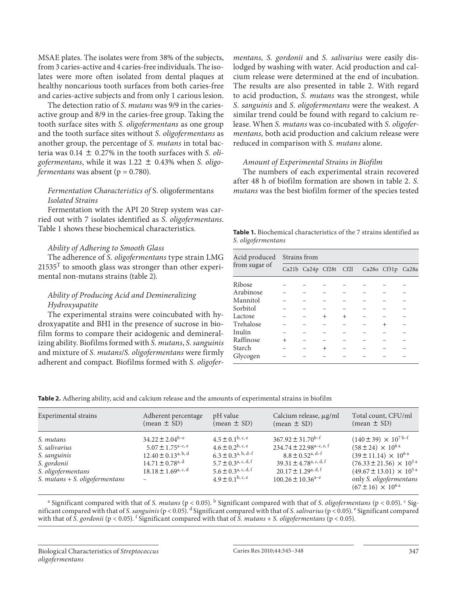MSAE plates. The isolates were from 38% of the subjects, from 3 caries-active and 4 caries-free individuals. The isolates were more often isolated from dental plaques at healthy noncarious tooth surfaces from both caries-free and caries-active subjects and from only 1 carious lesion.

 The detection ratio of *S. mutans* was 9/9 in the cariesactive group and 8/9 in the caries-free group. Taking the tooth surface sites with *S. oligofermentans* as one group and the tooth surface sites without *S. oligofermentans* as another group, the percentage of *S. mutans* in total bacteria was  $0.14 \pm 0.27\%$  in the tooth surfaces with *S. oligofermentans*, while it was 1.22  $\pm$  0.43% when *S. oligofermentans* was absent ( $p = 0.780$ ).

### *Fermentation Characteristics of* S. oligofermentans *Isolated Strains*

 Fermentation with the API 20 Strep system was carried out with 7 isolates identified as *S. oligofermentans* . Table 1 shows these biochemical characteristics *.*

#### *Ability of Adhering to Smooth Glass*

 The adherence of *S. oligofermentans* type strain LMG  $21535<sup>T</sup>$  to smooth glass was stronger than other experimental non-mutans strains (table 2).

## *Ability of Producing Acid and Demineralizing Hydroxyapatite*

 The experimental strains were coincubated with hydroxyapatite and BHI in the presence of sucrose in biofilm forms to compare their acidogenic and demineralizing ability. Biofilms formed with *S. mutans* , *S. sanguinis* and mixture of *S. mutans* / *S. oligofermentans* were firmly adherent and compact *.* Biofilms formed with *S. oligofer-* *mentans, S. gordonii* and *S. salivarius* were easily dislodged by washing with water. Acid production and calcium release were determined at the end of incubation. The results are also presented in table 2. With regard to acid production, *S. mutans* was the strongest, while *S. sanguinis* and *S. oligofermentans* were the weakest. A similar trend could be found with regard to calcium release. When *S. mutans* was co-incubated with *S. oligofermentans,* both acid production and calcium release were reduced in comparison with *S. mutans* alone.

## *Amount of Experimental Strains in Biofilm*

 The numbers of each experimental strain recovered after 48 h of biofilm formation are shown in table 2. S. *mutans* was the best biofilm former of the species tested

**Table 1.** Biochemical characteristics of the 7 strains identified as *S. oligofermentans*

| Acid produced<br>from sugar of | Strains from |                        |        |        |  |                   |  |  |
|--------------------------------|--------------|------------------------|--------|--------|--|-------------------|--|--|
|                                |              | Ca21b Ca24p Cf28t Cf2l |        |        |  | Ca28o Cf31p Ca28a |  |  |
| Ribose                         |              |                        |        |        |  |                   |  |  |
| Arabinose                      |              |                        |        |        |  |                   |  |  |
| Mannitol                       |              |                        |        |        |  |                   |  |  |
| Sorbitol                       |              |                        |        |        |  |                   |  |  |
| Lactose                        |              |                        | $^{+}$ | $^{+}$ |  |                   |  |  |
| Trehalose                      |              |                        |        |        |  | $^{+}$            |  |  |
| Inulin                         |              |                        |        |        |  |                   |  |  |
| Raffinose                      | $^{+}$       |                        |        |        |  |                   |  |  |
| Starch                         |              |                        | $^{+}$ |        |  |                   |  |  |
| Glycogen                       |              |                        |        |        |  |                   |  |  |

**Table 2.** Adhering ability, acid and calcium release and the amounts of experimental strains in biofilm

| Experimental strains                                                                                                | Adherent percentage                                                                                                                                              | pH value                                                                                                                                                                                  | Calcium release, µg/ml                                                                                                                                                                                                             | Total count, CFU/ml                                                                                                                                                                                                                                                                                    |
|---------------------------------------------------------------------------------------------------------------------|------------------------------------------------------------------------------------------------------------------------------------------------------------------|-------------------------------------------------------------------------------------------------------------------------------------------------------------------------------------------|------------------------------------------------------------------------------------------------------------------------------------------------------------------------------------------------------------------------------------|--------------------------------------------------------------------------------------------------------------------------------------------------------------------------------------------------------------------------------------------------------------------------------------------------------|
|                                                                                                                     | $(mean \pm SD)$                                                                                                                                                  | $(\text{mean} \pm \text{SD})$                                                                                                                                                             | $(mean \pm SD)$                                                                                                                                                                                                                    | $(mean \pm SD)$                                                                                                                                                                                                                                                                                        |
| S. mutans<br>S. salivarius<br>S. sanguinis<br>S. gordonii<br>S. oligofermentans<br>S. $mutans + S. oligofermentans$ | $34.22 \pm 2.04^{\mathrm{b-e}}$<br>$5.07 \pm 1.75^{\text{a-c, e}}$<br>$12.40 \pm 0.13^{a, b, d}$<br>$14.71 \pm 0.78$ <sup>a, d</sup><br>$18.18 \pm 1.69^{a,c,d}$ | $4.5 \pm 0.1^{\rm b, c, e}$<br>$4.6 \pm 0.2^{b, c, e}$<br>$6.3 \pm 0.3^{a, b, d-f}$<br>$5.7 \pm 0.3^{\text{a}}$ , c, d, f<br>$5.6 \pm 0.3^{\text{a, c, d, f}}$<br>$4.9 \pm 0.1^{b, c, e}$ | $367.92 \pm 31.70$ <sup>b-f</sup><br>$234.74 \pm 22.98^{\text{a-c, e, f}}$<br>$8.8 \pm 0.52$ <sup>a, d-f</sup><br>39.31 $\pm$ 4.78 <sup>a, c, d, f</sup><br>$20.17 \pm 1.29$ <sup>a, d, f</sup><br>$100.26 \pm 10.36^{\text{a-e}}$ | $(140 \pm 39) \times 10^{7}$ b-f<br>$(58 \pm 24) \times 10^{6}$ <sup>a</sup><br>$(39 \pm 11.14) \times 10^{6}$ <sup>a</sup><br>$(76.33 \pm 21.56) \times 10^{5}$ <sup>a</sup><br>$(49.67 \pm 13.01) \times 10^{5}$ <sup>a</sup><br>only S. oligofermentans<br>$(67 \pm 16) \times 10^{6}$ <sup>a</sup> |

<sup>a</sup> Significant compared with that of *S. mutans* (p < 0.05). <sup>b</sup> Significant compared with that of *S. oligofermentans* (p < 0.05). <sup>c</sup> Significant compared with that of *S. sanguinis* (p < 0.05). d Significant compared with that of *S. salivarius* (p < 0.05). e Significant compared with that of *S. gordonii* (p < 0.05). <sup>f</sup> Significant compared with that of *S. mutans* + *S. oligofermentans* (p < 0.05).